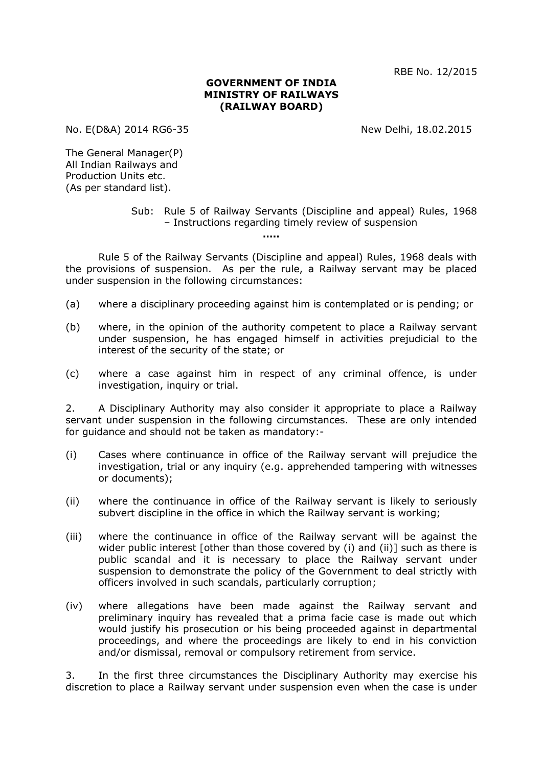RBE No. 12/2015

## **GOVERNMENT OF INDIA MINISTRY OF RAILWAYS (RAILWAY BOARD)**

No. E(D&A) 2014 RG6-35 New Delhi, 18.02.2015

The General Manager(P) All Indian Railways and Production Units etc. (As per standard list).

> Sub: Rule 5 of Railway Servants (Discipline and appeal) Rules, 1968 – Instructions regarding timely review of suspension

> > **…..**

Rule 5 of the Railway Servants (Discipline and appeal) Rules, 1968 deals with the provisions of suspension. As per the rule, a Railway servant may be placed under suspension in the following circumstances:

- (a) where a disciplinary proceeding against him is contemplated or is pending; or
- (b) where, in the opinion of the authority competent to place a Railway servant under suspension, he has engaged himself in activities prejudicial to the interest of the security of the state; or
- (c) where a case against him in respect of any criminal offence, is under investigation, inquiry or trial.

2. A Disciplinary Authority may also consider it appropriate to place a Railway servant under suspension in the following circumstances. These are only intended for guidance and should not be taken as mandatory:-

- (i) Cases where continuance in office of the Railway servant will prejudice the investigation, trial or any inquiry (e.g. apprehended tampering with witnesses or documents);
- (ii) where the continuance in office of the Railway servant is likely to seriously subvert discipline in the office in which the Railway servant is working;
- (iii) where the continuance in office of the Railway servant will be against the wider public interest [other than those covered by (i) and (ii)] such as there is public scandal and it is necessary to place the Railway servant under suspension to demonstrate the policy of the Government to deal strictly with officers involved in such scandals, particularly corruption;
- (iv) where allegations have been made against the Railway servant and preliminary inquiry has revealed that a prima facie case is made out which would justify his prosecution or his being proceeded against in departmental proceedings, and where the proceedings are likely to end in his conviction and/or dismissal, removal or compulsory retirement from service.

3. In the first three circumstances the Disciplinary Authority may exercise his discretion to place a Railway servant under suspension even when the case is under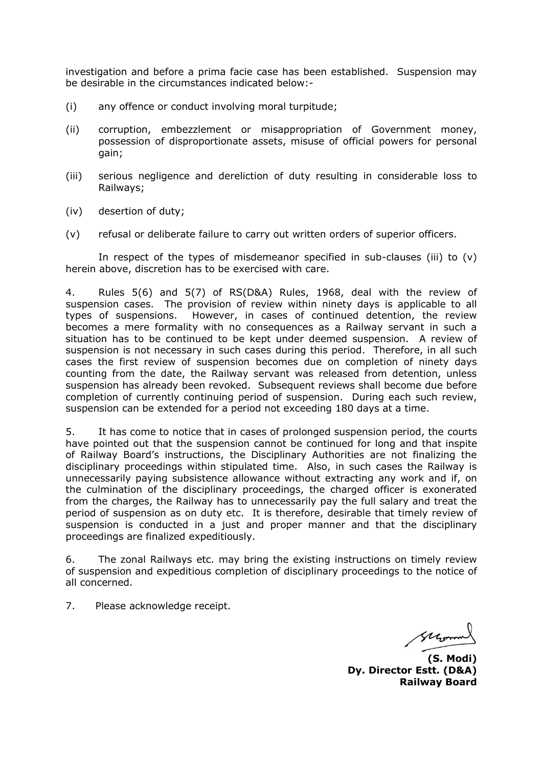investigation and before a prima facie case has been established. Suspension may be desirable in the circumstances indicated below:-

- (i) any offence or conduct involving moral turpitude;
- (ii) corruption, embezzlement or misappropriation of Government money, possession of disproportionate assets, misuse of official powers for personal gain;
- (iii) serious negligence and dereliction of duty resulting in considerable loss to Railways;
- (iv) desertion of duty;
- (v) refusal or deliberate failure to carry out written orders of superior officers.

In respect of the types of misdemeanor specified in sub-clauses (iii) to  $(v)$ herein above, discretion has to be exercised with care.

4. Rules 5(6) and 5(7) of RS(D&A) Rules, 1968, deal with the review of suspension cases. The provision of review within ninety days is applicable to all types of suspensions. However, in cases of continued detention, the review becomes a mere formality with no consequences as a Railway servant in such a situation has to be continued to be kept under deemed suspension. A review of suspension is not necessary in such cases during this period. Therefore, in all such cases the first review of suspension becomes due on completion of ninety days counting from the date, the Railway servant was released from detention, unless suspension has already been revoked. Subsequent reviews shall become due before completion of currently continuing period of suspension. During each such review, suspension can be extended for a period not exceeding 180 days at a time.

5. It has come to notice that in cases of prolonged suspension period, the courts have pointed out that the suspension cannot be continued for long and that inspite of Railway Board's instructions, the Disciplinary Authorities are not finalizing the disciplinary proceedings within stipulated time. Also, in such cases the Railway is unnecessarily paying subsistence allowance without extracting any work and if, on the culmination of the disciplinary proceedings, the charged officer is exonerated from the charges, the Railway has to unnecessarily pay the full salary and treat the period of suspension as on duty etc. It is therefore, desirable that timely review of suspension is conducted in a just and proper manner and that the disciplinary proceedings are finalized expeditiously.

6. The zonal Railways etc. may bring the existing instructions on timely review of suspension and expeditious completion of disciplinary proceedings to the notice of all concerned.

7. Please acknowledge receipt.

Morro

**(S. Modi) Dy. Director Estt. (D&A) Railway Board**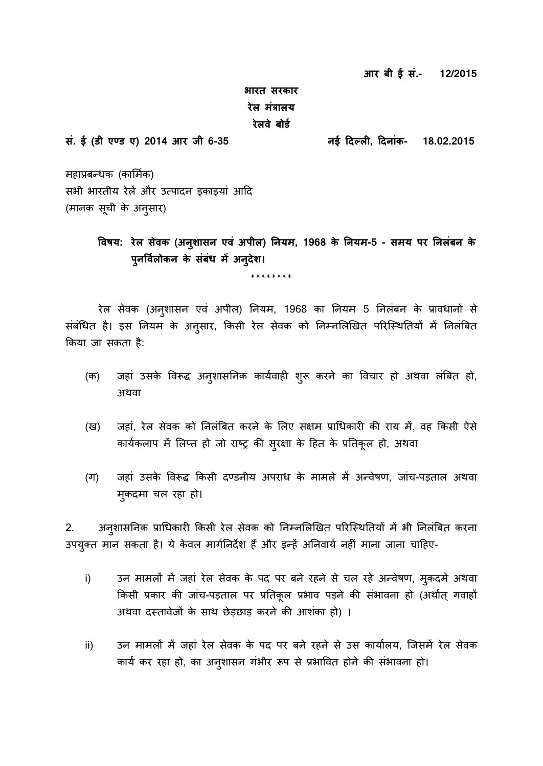**आर बी ई सं.- 12/2015**

## **भारत सरकार रेल मंत्रालय रेलवे बोर्ड**

महाप्रबन्धक (कार्मिक) सभी भारतीय रेलें और उत्पादन इकाइयां आदि (मानक सूची के अनुसार)

> **ववषय: रेल सेवक (अनशु ासन एवं अपील) ननयम, 1968 के ननयम-5 - समय पर ननलंबन के पनु ववलड ोकन के सबं धं मेंअनिुेश।**

> > \*\*\*\*\*\*\*\*

रेल सेवक (अन्शासन एवं अपील) नियम, 1968 का नियम 5 निलंबन के प्रावधानों से संबंधित है। इस नियम के अनुसार, किसी रेल सेवक को निम्नलिखित परिस्थितियों में निलंबित किया जा सकता है:

- (क) जहां उसके विरूद्ध अन्ओशासनिक कार्यवाही शुरू करने का विचार हो अथवा लंबित हो, अथवा
- (ख) जहां, रेल सेवक को निलंबित करने के लिए सक्षम प्राधिकारी की राय में, वह किसी ऐसे कार्यकलाप में लिप्त हो जो राष्ट्र की सुरक्षा के हित के प्रतिकूल हो, अथवा
- (ग) जहां उसके विरूद्ध किसी दण्डनीय अपराध के मामले में अन्वेषण, जांच-पड़ताल अथवा म्कदमा चल रहा हो।

2. अनुशासनिक प्राधिकारी किसी रेल सेवक को निम्नलिखित परिस्थितियों में भी निलंबित करना उपयुक्त मान सकता है। ये केवल मार्गनिर्देश हैं और इन्हें अनिवार्य नहीं माना जाना चाहिए-

- i) उन मामलों में जहां रेल सेवक के पद पर बने रहने से चल रहे अन्वेषण, मुकदमे अथवा किसी प्रकार की जांच-पड़ताल पर प्रतिकूल प्रभाव पड़ने की संभावना हो (अर्थात् गवाहों अथवा दस्तावेजों के साथ छेड़छाड़ करने की आशंका हो)।
- ii) उन मामलों में जहां रेल सेवक के पद पर बने रहने से उस कार्यालय, जिसमें रेल सेवक कार्य कर रहा हो, का अनुशासन गंभीर रूप से प्रभावित होने की संभावना हो।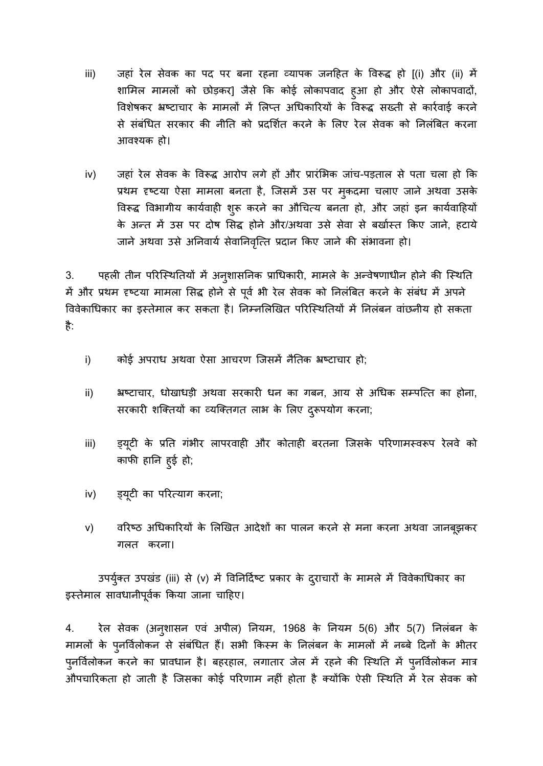- iii) जहां रेल सेवक का पद पर बना रहना व्यापक जनहित के विरूद्ध हो [(i) और (ii) में शामिल मामलों को छोड़कर] जैसे कि कोई लोकापवाद हुआ हो और ऐसे लोकापवादों, विशेषकर भ्रष्टाचार के मामलों में लिप्त अधिकारियों के विरूद्ध सख्ती से कार्रवाई करने से संबंधित सरकार की नीति को प्रदर्शित करने के लिए रेल सेवक को निलंबित करना आवश्यक हो।
- iv) जहां रेल सेवक के विरूद्ध आरोप लगे हों और प्रारंभिक जांच-पड़ताल से पता चला हो कि प्रथम दृष्टया ऐसा मामला बनता है, जिसमें उस पर मुकदमा चलाए जाने अथवा उसके विरूद्ध विभागीय कार्यवाही शुरू करने का औचित्य बनता हो, और जहां इन कार्यवाहियों के अन्त में उस पर दोष सिद्ध होने और/अथवा उसे सेवा से बर्खास्त किए जाने, हटाये जाने अथवा उसे अनिवार्य सेवानिवृत्ति प्रदान किए जाने की संभावना हो।

3. पहली तीन परिस्थितियों में अनुशासनिक प्राधिकारी, मामले के अन्वेषणाधीन होने की स्थिति में और प्रथम दृष्टया मामला सिद्ध होने से पूर्व भी रेल सेवक को निलंबित करने के संबंध में अपने विवेकाधिकार का इस्तेमाल कर सकता है। निम्नलिखित परिस्थितियों में निलंबन वांछनीय हो सकता है:

- i) कोई अपराध अथवा ऐसा आचरण जिसमें नैतिक भ्रष्टाचार हो;
- ii) भ्रष्टाचार, धोखाधड़ी अथवा सरकारी धन का गबन, आय से अधिक सम्पत्ति का होना, सरकारी शक्तियों का व्यक्तिगत लाभ के लिए दुरूपयोग करना;
- iii) ह्यूटी के प्रति गंभीर लापरवाही और कोताही बरतना जिसके परिणामस्वरूप रेलवे को काफी हानि हुई हो;
- iv) व्यूटी का परित्याग करना;
- v) वरिष्ठ अधिकारियों के लिखित आदेशों का पालन करने से मना करना अथवा जानबूझकर गलत करना।

उपर्युक्त उपखंड (iii) से (v) में विनिर्दिष्ट प्रकार के दुराचारों के मामले में विवेकाधिकार का इस्तेमाल सावधानीपूर्वक किया जाना चाहिए।

4. रेल सेवक (अनुशासन एवं अपील) नियम, 1968 के नियम 5(6) और 5(7) निलंबन के मामलों के पुनर्विलोकन से संबंधित हैं। सभी किस्म के निलंबन के मामलों में नब्बे दिनों के भीतर पुनर्विलोकन करने का प्रावधान है। बहरहाल, लगातार जेल में रहने की स्थिति में पुनर्विलोकन मात्र औपचारिकता हो जाती है जिसका कोई परिणाम नहीं होता है क्योंकि ऐसी स्थिति में रेल सेवक को